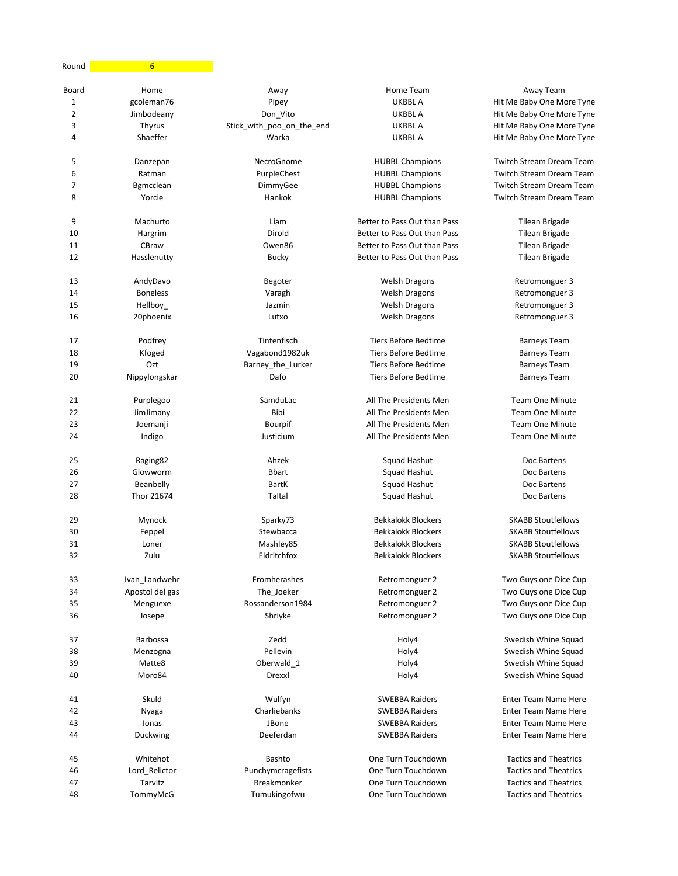| Round | $6 \overline{}$ |                           |                              |                                 |
|-------|-----------------|---------------------------|------------------------------|---------------------------------|
| Board | Home            | Away                      | Home Team                    | Away Team                       |
| 1     | gcoleman76      | Pipey                     | UKBBL A                      | Hit Me Baby One More Tyne       |
| 2     | Jimbodeany      | Don_Vito                  | <b>UKBBLA</b>                | Hit Me Baby One More Tyne       |
| 3     | Thyrus          | Stick_with_poo_on_the_end | UKBBL A                      | Hit Me Baby One More Tyne       |
| 4     | Shaeffer        | Warka                     | UKBBL A                      | Hit Me Baby One More Tyne       |
| 5     | Danzepan        | NecroGnome                | <b>HUBBL Champions</b>       | <b>Twitch Stream Dream Team</b> |
| 6     | Ratman          | PurpleChest               | <b>HUBBL Champions</b>       | <b>Twitch Stream Dream Team</b> |
| 7     | Bgmcclean       | DimmyGee                  | <b>HUBBL Champions</b>       | <b>Twitch Stream Dream Team</b> |
| 8     | Yorcie          | Hankok                    | <b>HUBBL Champions</b>       | <b>Twitch Stream Dream Team</b> |
| 9     | Machurto        | Liam                      | Better to Pass Out than Pass | Tilean Brigade                  |
| 10    | Hargrim         | Dirold                    | Better to Pass Out than Pass | Tilean Brigade                  |
| 11    | CBraw           | Owen86                    | Better to Pass Out than Pass | Tilean Brigade                  |
| 12    | Hasslenutty     | <b>Bucky</b>              | Better to Pass Out than Pass | Tilean Brigade                  |
| 13    | AndyDavo        | Begoter                   | <b>Welsh Dragons</b>         | Retromonguer 3                  |
| 14    | <b>Boneless</b> | Varagh                    | <b>Welsh Dragons</b>         | Retromonguer 3                  |
| 15    | Hellboy_        | Jazmin                    | <b>Welsh Dragons</b>         | Retromonguer 3                  |
| 16    | 20phoenix       | Lutxo                     | <b>Welsh Dragons</b>         | Retromonguer 3                  |
| 17    | Podfrey         | Tintenfisch               | <b>Tiers Before Bedtime</b>  | <b>Barneys Team</b>             |
| 18    | Kfoged          | Vagabond1982uk            | <b>Tiers Before Bedtime</b>  | <b>Barneys Team</b>             |
| 19    | Ozt             | Barney the Lurker         | Tiers Before Bedtime         | <b>Barneys Team</b>             |
| 20    | Nippylongskar   | Dafo                      | <b>Tiers Before Bedtime</b>  | <b>Barneys Team</b>             |
| 21    | Purplegoo       | SamduLac                  | All The Presidents Men       | <b>Team One Minute</b>          |
| 22    | JimJimany       | Bibi                      | All The Presidents Men       | <b>Team One Minute</b>          |
| 23    | Joemanji        | Bourpif                   | All The Presidents Men       | <b>Team One Minute</b>          |
| 24    | Indigo          | Justicium                 | All The Presidents Men       | <b>Team One Minute</b>          |
| 25    | Raging82        | Ahzek                     | Squad Hashut                 | Doc Bartens                     |
| 26    | Glowworm        | <b>Bbart</b>              | Squad Hashut                 | Doc Bartens                     |
| 27    | Beanbelly       | <b>BartK</b>              | Squad Hashut                 | Doc Bartens                     |
| 28    | Thor 21674      | Taltal                    | Squad Hashut                 | Doc Bartens                     |
| 29    | Mynock          | Sparky73                  | <b>Bekkalokk Blockers</b>    | <b>SKABB Stoutfellows</b>       |
| 30    | Feppel          | Stewbacca                 | <b>Bekkalokk Blockers</b>    | <b>SKABB Stoutfellows</b>       |
| 31    | Loner           | Mashley85                 | <b>Bekkalokk Blockers</b>    | <b>SKABB Stoutfellows</b>       |
| 32    | Zulu            | Eldritchfox               | <b>Bekkalokk Blockers</b>    | <b>SKABB Stoutfellows</b>       |
| 33    | Ivan_Landwehr   | Fromherashes              | Retromonguer 2               | Two Guys one Dice Cup           |
| 34    | Apostol del gas | The_Joeker                | Retromonguer 2               | Two Guys one Dice Cup           |
| 35    | Menguexe        | Rossanderson1984          | Retromonguer 2               | Two Guys one Dice Cup           |
| 36    | Josepe          | Shriyke                   | Retromonguer 2               | Two Guys one Dice Cup           |
| 37    | <b>Barbossa</b> | Zedd                      | Holy4                        | Swedish Whine Squad             |
| 38    | Menzogna        | Pellevin                  | Holy4                        | Swedish Whine Squad             |
| 39    | Matte8          | Oberwald_1                | Holy4                        | Swedish Whine Squad             |
| 40    | Moro84          | Drexxl                    | Holy4                        | Swedish Whine Squad             |
| 41    | Skuld           | Wulfyn                    | <b>SWEBBA Raiders</b>        | <b>Enter Team Name Here</b>     |
| 42    | Nyaga           | Charliebanks              | <b>SWEBBA Raiders</b>        | <b>Enter Team Name Here</b>     |
| 43    | Ionas           | JBone                     | <b>SWEBBA Raiders</b>        | <b>Enter Team Name Here</b>     |
| 44    | Duckwing        | Deeferdan                 | <b>SWEBBA Raiders</b>        | Enter Team Name Here            |
| 45    | Whitehot        | <b>Bashto</b>             | One Turn Touchdown           | <b>Tactics and Theatrics</b>    |
| 46    | Lord_Relictor   | Punchymcragefists         | One Turn Touchdown           | <b>Tactics and Theatrics</b>    |
| 47    | Tarvitz         | Breakmonker               | One Turn Touchdown           | <b>Tactics and Theatrics</b>    |
| 48    | TommyMcG        | Tumukingofwu              | One Turn Touchdown           | <b>Tactics and Theatrics</b>    |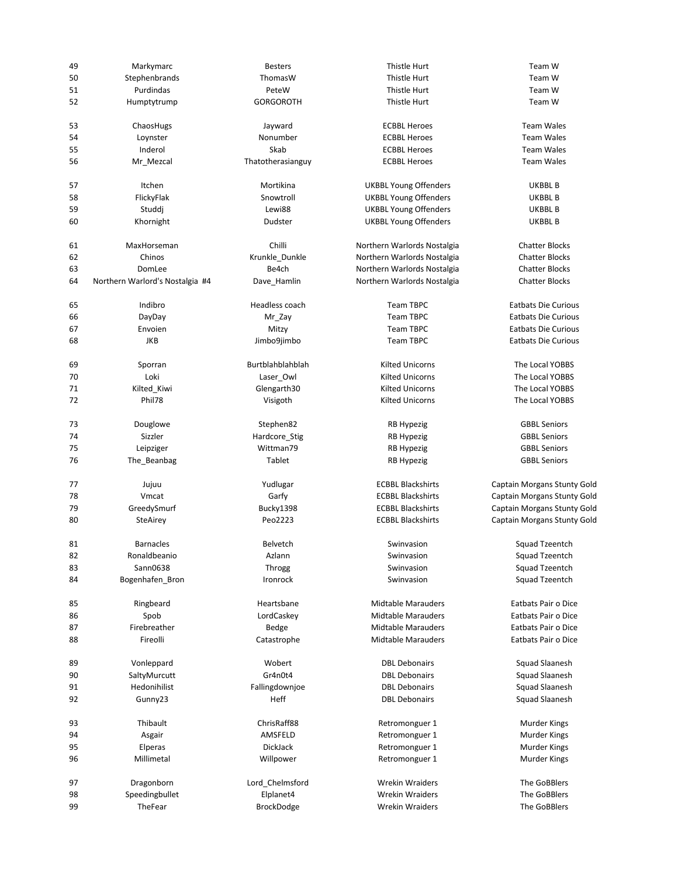| 49       | Markymarc                       | <b>Besters</b>      | Thistle Hurt                 | Team W                                     |
|----------|---------------------------------|---------------------|------------------------------|--------------------------------------------|
| 50       | Stephenbrands                   | ThomasW             | Thistle Hurt                 | Team W                                     |
| 51       | Purdindas                       | PeteW               | Thistle Hurt                 | Team W                                     |
| 52       | Humptytrump                     | <b>GORGOROTH</b>    | Thistle Hurt                 | Team W                                     |
|          |                                 |                     |                              |                                            |
| 53       | ChaosHugs                       | Jayward             | <b>ECBBL Heroes</b>          | <b>Team Wales</b>                          |
| 54       | Loynster                        | Nonumber            | <b>ECBBL Heroes</b>          | <b>Team Wales</b>                          |
| 55       | Inderol                         | Skab                | <b>ECBBL Heroes</b>          | <b>Team Wales</b>                          |
| 56       | Mr_Mezcal                       | Thatotherasianguy   | <b>ECBBL Heroes</b>          | <b>Team Wales</b>                          |
| 57       | Itchen                          | Mortikina           | <b>UKBBL Young Offenders</b> | UKBBL B                                    |
| 58       | FlickyFlak                      | Snowtroll           | <b>UKBBL Young Offenders</b> | UKBBL B                                    |
|          |                                 | Lewi88              |                              |                                            |
| 59       | Studdj                          |                     | <b>UKBBL Young Offenders</b> | UKBBL B                                    |
| 60       | Khornight                       | Dudster             | <b>UKBBL Young Offenders</b> | UKBBL B                                    |
| 61       | MaxHorseman                     | Chilli              | Northern Warlords Nostalgia  | <b>Chatter Blocks</b>                      |
| 62       | Chinos                          | Krunkle_Dunkle      | Northern Warlords Nostalgia  | <b>Chatter Blocks</b>                      |
| 63       | DomLee                          | Be4ch               | Northern Warlords Nostalgia  | <b>Chatter Blocks</b>                      |
| 64       | Northern Warlord's Nostalgia #4 | Dave_Hamlin         | Northern Warlords Nostalgia  | <b>Chatter Blocks</b>                      |
| 65       | Indibro                         | Headless coach      | <b>Team TBPC</b>             | <b>Eatbats Die Curious</b>                 |
| 66       | DayDay                          | Mr_Zay              | <b>Team TBPC</b>             | <b>Eatbats Die Curious</b>                 |
|          | Envoien                         |                     | <b>Team TBPC</b>             | <b>Eatbats Die Curious</b>                 |
| 67       |                                 | Mitzy               |                              |                                            |
| 68       | JKB                             | Jimbo9jimbo         | <b>Team TBPC</b>             | <b>Eatbats Die Curious</b>                 |
| 69       | Sporran                         | Burtblahblahblah    | <b>Kilted Unicorns</b>       | The Local YOBBS                            |
| 70       | Loki                            | Laser_Owl           | <b>Kilted Unicorns</b>       | The Local YOBBS                            |
| 71       | Kilted_Kiwi                     | Glengarth30         | <b>Kilted Unicorns</b>       | The Local YOBBS                            |
| 72       | Phil78                          | Visigoth            | <b>Kilted Unicorns</b>       | The Local YOBBS                            |
| 73       | Douglowe                        | Stephen82           | RB Hypezig                   | <b>GBBL Seniors</b>                        |
| 74       | Sizzler                         |                     |                              | <b>GBBL Seniors</b>                        |
|          |                                 | Hardcore_Stig       | <b>RB Hypezig</b>            |                                            |
| 75<br>76 | Leipziger                       | Wittman79<br>Tablet | <b>RB Hypezig</b>            | <b>GBBL Seniors</b><br><b>GBBL Seniors</b> |
|          | The_Beanbag                     |                     | RB Hypezig                   |                                            |
| 77       | Jujuu                           | Yudlugar            | <b>ECBBL Blackshirts</b>     | Captain Morgans Stunty Gold                |
| 78       | Vmcat                           | Garfy               | <b>ECBBL Blackshirts</b>     | Captain Morgans Stunty Gold                |
| 79       | GreedySmurf                     | Bucky1398           | <b>ECBBL Blackshirts</b>     | Captain Morgans Stunty Gold                |
| 80       | SteAirey                        | Peo2223             | <b>ECBBL Blackshirts</b>     | Captain Morgans Stunty Gold                |
| 81       | <b>Barnacles</b>                | <b>Belvetch</b>     | Swinvasion                   | Squad Tzeentch                             |
| 82       | Ronaldbeanio                    | Azlann              | Swinvasion                   | Squad Tzeentch                             |
| 83       | Sann0638                        |                     | Swinvasion                   | Squad Tzeentch                             |
| 84       | Bogenhafen_Bron                 | Throgg<br>Ironrock  | Swinvasion                   | Squad Tzeentch                             |
|          |                                 |                     |                              |                                            |
| 85       | Ringbeard                       | Heartsbane          | <b>Midtable Marauders</b>    | Eatbats Pair o Dice                        |
| 86       | Spob                            | LordCaskey          | <b>Midtable Marauders</b>    | Eatbats Pair o Dice                        |
| 87       | Firebreather                    | Bedge               | <b>Midtable Marauders</b>    | Eatbats Pair o Dice                        |
| 88       | Fireolli                        | Catastrophe         | <b>Midtable Marauders</b>    | Eatbats Pair o Dice                        |
| 89       | Vonleppard                      | Wobert              | <b>DBL Debonairs</b>         | Squad Slaanesh                             |
| 90       | SaltyMurcutt                    | Gr4n0t4             | <b>DBL Debonairs</b>         | Squad Slaanesh                             |
| 91       | Hedonihilist                    | Fallingdownjoe      | <b>DBL Debonairs</b>         | Squad Slaanesh                             |
| 92       | Gunny23                         | Heff                | <b>DBL Debonairs</b>         | Squad Slaanesh                             |
|          |                                 |                     |                              |                                            |
| 93       | Thibault                        | ChrisRaff88         | Retromonguer 1               | Murder Kings                               |
| 94       | Asgair                          | AMSFELD             | Retromonguer 1               | Murder Kings                               |
| 95       | Elperas                         | DickJack            | Retromonguer 1               | <b>Murder Kings</b>                        |
| 96       | Millimetal                      | Willpower           | Retromonguer 1               | Murder Kings                               |
| 97       | Dragonborn                      | Lord_Chelmsford     | <b>Wrekin Wraiders</b>       | The GoBBlers                               |
| 98       | Speedingbullet                  | Elplanet4           | <b>Wrekin Wraiders</b>       | The GoBBlers                               |
| 99       | TheFear                         | BrockDodge          | <b>Wrekin Wraiders</b>       | The GoBBlers                               |
|          |                                 |                     |                              |                                            |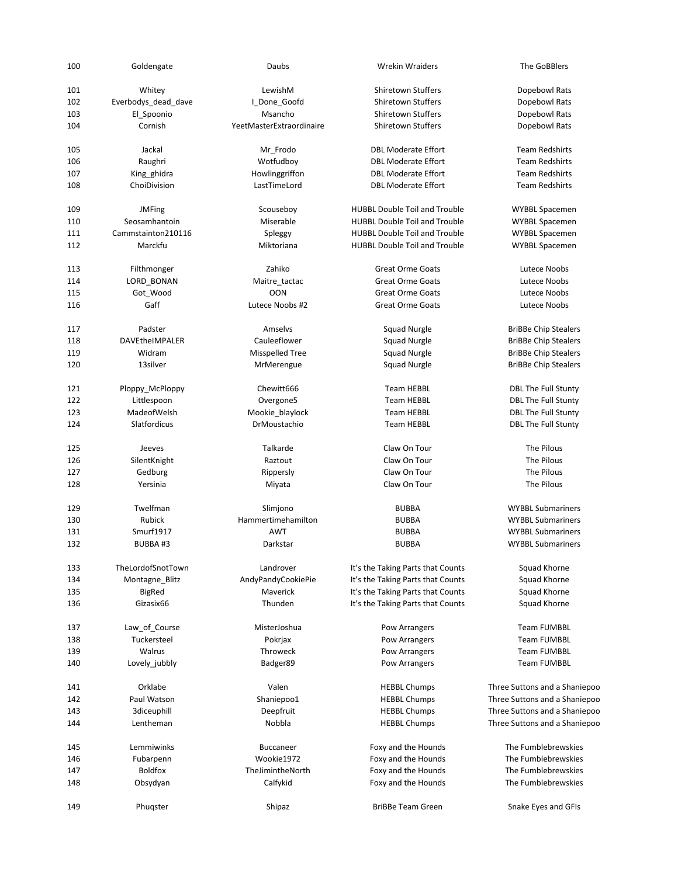| 100 | Goldengate          | Daubs                    | <b>Wrekin Wraiders</b>               | The GoBBlers                  |
|-----|---------------------|--------------------------|--------------------------------------|-------------------------------|
| 101 | Whitey              | LewishM                  | <b>Shiretown Stuffers</b>            | Dopebowl Rats                 |
| 102 | Everbodys_dead_dave | I_Done_Goofd             | <b>Shiretown Stuffers</b>            | Dopebowl Rats                 |
| 103 | El_Spoonio          | Msancho                  | Shiretown Stuffers                   | Dopebowl Rats                 |
| 104 | Cornish             | YeetMasterExtraordinaire | <b>Shiretown Stuffers</b>            | Dopebowl Rats                 |
|     |                     |                          |                                      |                               |
| 105 | Jackal              | Mr_Frodo                 | <b>DBL Moderate Effort</b>           | <b>Team Redshirts</b>         |
| 106 | Raughri             | Wotfudboy                | <b>DBL Moderate Effort</b>           | <b>Team Redshirts</b>         |
| 107 | King ghidra         | Howlinggriffon           | <b>DBL Moderate Effort</b>           | <b>Team Redshirts</b>         |
| 108 | ChoiDivision        | LastTimeLord             | <b>DBL Moderate Effort</b>           | <b>Team Redshirts</b>         |
| 109 | <b>JMFing</b>       | Scouseboy                | <b>HUBBL Double Toil and Trouble</b> | <b>WYBBL Spacemen</b>         |
| 110 | Seosamhantoin       | Miserable                | <b>HUBBL Double Toil and Trouble</b> | <b>WYBBL Spacemen</b>         |
| 111 | Cammstainton210116  | Spleggy                  | <b>HUBBL Double Toil and Trouble</b> | <b>WYBBL Spacemen</b>         |
| 112 | Marckfu             | Miktoriana               | <b>HUBBL Double Toil and Trouble</b> | <b>WYBBL Spacemen</b>         |
|     |                     |                          |                                      |                               |
| 113 | Filthmonger         | Zahiko                   | <b>Great Orme Goats</b>              | Lutece Noobs                  |
| 114 | LORD BONAN          | Maitre tactac            | <b>Great Orme Goats</b>              | Lutece Noobs                  |
| 115 | Got_Wood            | <b>OON</b>               | <b>Great Orme Goats</b>              | Lutece Noobs                  |
| 116 | Gaff                | Lutece Noobs #2          | <b>Great Orme Goats</b>              | Lutece Noobs                  |
| 117 | Padster             | Amselvs                  | <b>Squad Nurgle</b>                  | <b>BriBBe Chip Stealers</b>   |
| 118 | DAVEtheIMPALER      | Cauleeflower             | Squad Nurgle                         | <b>BriBBe Chip Stealers</b>   |
| 119 | Widram              | Misspelled Tree          | Squad Nurgle                         | <b>BriBBe Chip Stealers</b>   |
| 120 | 13silver            |                          | <b>Squad Nurgle</b>                  |                               |
|     |                     | MrMerengue               |                                      | <b>BriBBe Chip Stealers</b>   |
| 121 | Ploppy_McPloppy     | Chewitt666               | <b>Team HEBBL</b>                    | DBL The Full Stunty           |
| 122 | Littlespoon         | Overgone5                | <b>Team HEBBL</b>                    | <b>DBL The Full Stunty</b>    |
| 123 | MadeofWelsh         | Mookie_blaylock          | <b>Team HEBBL</b>                    | DBL The Full Stunty           |
| 124 | Slatfordicus        | DrMoustachio             | <b>Team HEBBL</b>                    | <b>DBL The Full Stunty</b>    |
|     |                     |                          |                                      |                               |
| 125 | Jeeves              | Talkarde                 | Claw On Tour                         | The Pilous                    |
| 126 | SilentKnight        | Raztout                  | Claw On Tour                         | The Pilous                    |
| 127 | Gedburg             | Rippersly                | Claw On Tour                         | The Pilous                    |
| 128 | Yersinia            | Miyata                   | Claw On Tour                         | The Pilous                    |
| 129 | Twelfman            | Slimjono                 | <b>BUBBA</b>                         | <b>WYBBL Submariners</b>      |
| 130 | Rubick              | Hammertimehamilton       | <b>BUBBA</b>                         | <b>WYBBL Submariners</b>      |
| 131 | Smurf1917           | <b>AWT</b>               | <b>BUBBA</b>                         | <b>WYBBL Submariners</b>      |
| 132 | BUBBA#3             | Darkstar                 | <b>BUBBA</b>                         | <b>WYBBL Submariners</b>      |
|     |                     |                          |                                      |                               |
| 133 | TheLordofSnotTown   | Landrover                | It's the Taking Parts that Counts    | Squad Khorne                  |
| 134 | Montagne_Blitz      | AndyPandyCookiePie       | It's the Taking Parts that Counts    | Squad Khorne                  |
| 135 | <b>BigRed</b>       | Maverick                 | It's the Taking Parts that Counts    | Squad Khorne                  |
| 136 | Gizasix66           | Thunden                  | It's the Taking Parts that Counts    | Squad Khorne                  |
| 137 | Law_of_Course       | MisterJoshua             | Pow Arrangers                        | <b>Team FUMBBL</b>            |
| 138 | Tuckersteel         | Pokrjax                  | Pow Arrangers                        | <b>Team FUMBBL</b>            |
| 139 | Walrus              | Throweck                 | Pow Arrangers                        | <b>Team FUMBBL</b>            |
| 140 | Lovely_jubbly       | Badger89                 | Pow Arrangers                        | <b>Team FUMBBL</b>            |
|     |                     |                          |                                      |                               |
| 141 | Orklabe             | Valen                    | <b>HEBBL Chumps</b>                  | Three Suttons and a Shaniepoo |
| 142 | Paul Watson         | Shaniepoo1               | <b>HEBBL Chumps</b>                  | Three Suttons and a Shaniepoo |
| 143 | 3diceuphill         | Deepfruit                | <b>HEBBL Chumps</b>                  | Three Suttons and a Shaniepoo |
| 144 | Lentheman           | Nobbla                   | <b>HEBBL Chumps</b>                  | Three Suttons and a Shaniepoo |
| 145 | Lemmiwinks          | <b>Buccaneer</b>         | Foxy and the Hounds                  | The Fumblebrewskies           |
| 146 | Fubarpenn           | Wookie1972               | Foxy and the Hounds                  | The Fumblebrewskies           |
| 147 | <b>Boldfox</b>      | TheJimintheNorth         | Foxy and the Hounds                  | The Fumblebrewskies           |
| 148 | Obsydyan            | Calfykid                 | Foxy and the Hounds                  | The Fumblebrewskies           |
|     |                     |                          |                                      |                               |
| 149 | Phugster            | Shipaz                   | <b>BriBBe Team Green</b>             | Snake Eyes and GFIs           |